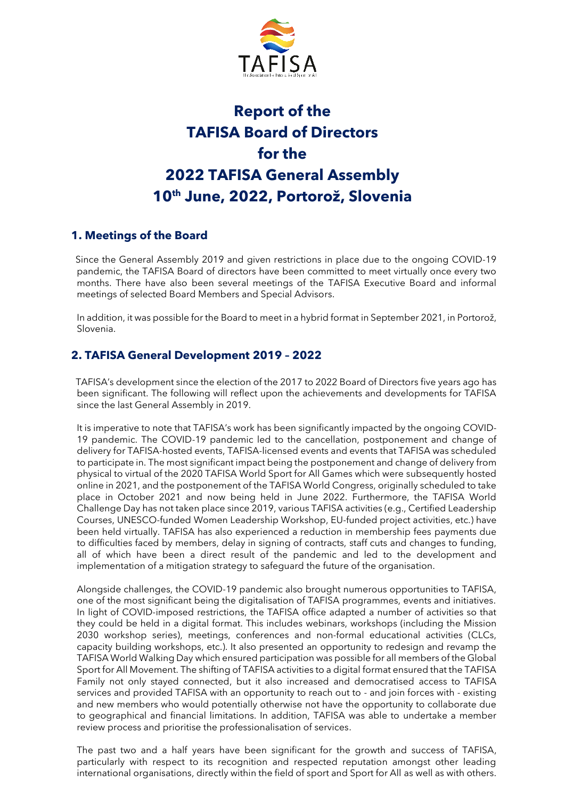

# **Report of the TAFISA Board of Directors for the 2022 TAFISA General Assembly 10 th June, 2022, Portorož, Slovenia**

# **1. Meetings of the Board**

 Since the General Assembly 2019 and given restrictions in place due to the ongoing COVID-19 pandemic, the TAFISA Board of directors have been committed to meet virtually once every two months. There have also been several meetings of the TAFISA Executive Board and informal meetings of selected Board Members and Special Advisors.

In addition, it was possible for the Board to meet in a hybrid format in September 2021, in Portorož, Slovenia.

### **2. TAFISA General Development 2019 – 2022**

 TAFISA's development since the election of the 2017 to 2022 Board of Directors five years ago has been significant. The following will reflect upon the achievements and developments for TAFISA since the last General Assembly in 2019.

It is imperative to note that TAFISA's work has been significantly impacted by the ongoing COVID-19 pandemic. The COVID-19 pandemic led to the cancellation, postponement and change of delivery for TAFISA-hosted events, TAFISA-licensed events and events that TAFISA was scheduled to participate in. The most significant impact being the postponement and change of delivery from physical to virtual of the 2020 TAFISA World Sport for All Games which were subsequently hosted online in 2021, and the postponement of the TAFISA World Congress, originally scheduled to take place in October 2021 and now being held in June 2022. Furthermore, the TAFISA World Challenge Day has not taken place since 2019, various TAFISA activities (e.g., Certified Leadership Courses, UNESCO-funded Women Leadership Workshop, EU-funded project activities, etc.) have been held virtually. TAFISA has also experienced a reduction in membership fees payments due to difficulties faced by members, delay in signing of contracts, staff cuts and changes to funding, all of which have been a direct result of the pandemic and led to the development and implementation of a mitigation strategy to safeguard the future of the organisation.

Alongside challenges, the COVID-19 pandemic also brought numerous opportunities to TAFISA, one of the most significant being the digitalisation of TAFISA programmes, events and initiatives. In light of COVID-imposed restrictions, the TAFISA office adapted a number of activities so that they could be held in a digital format. This includes webinars, workshops (including the Mission 2030 workshop series), meetings, conferences and non-formal educational activities (CLCs, capacity building workshops, etc.). It also presented an opportunity to redesign and revamp the TAFISA World Walking Day which ensured participation was possible for all members of the Global Sport for All Movement. The shifting of TAFISA activities to a digital format ensured that the TAFISA Family not only stayed connected, but it also increased and democratised access to TAFISA services and provided TAFISA with an opportunity to reach out to - and join forces with - existing and new members who would potentially otherwise not have the opportunity to collaborate due to geographical and financial limitations. In addition, TAFISA was able to undertake a member review process and prioritise the professionalisation of services.

The past two and a half years have been significant for the growth and success of TAFISA, particularly with respect to its recognition and respected reputation amongst other leading international organisations, directly within the field of sport and Sport for All as well as with others.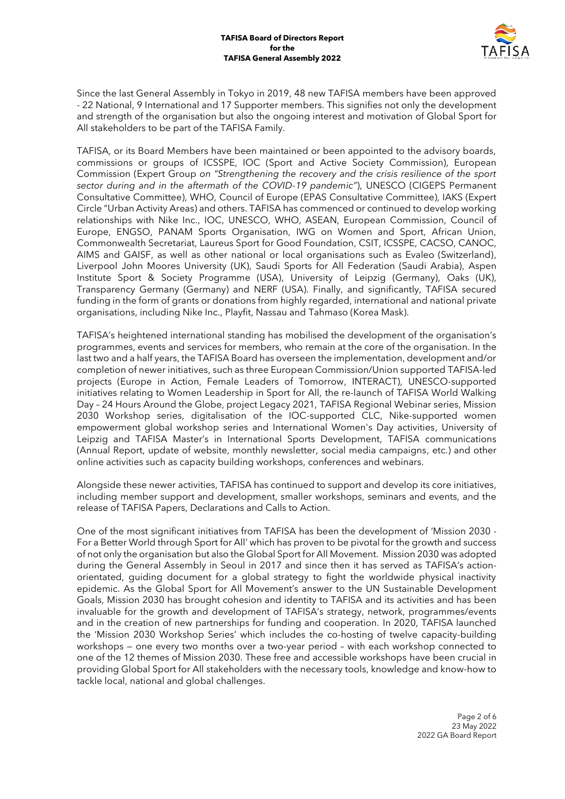

Since the last General Assembly in Tokyo in 2019, 48 new TAFISA members have been approved - 22 National, 9 International and 17 Supporter members. This signifies not only the development and strength of the organisation but also the ongoing interest and motivation of Global Sport for All stakeholders to be part of the TAFISA Family.

TAFISA, or its Board Members have been maintained or been appointed to the advisory boards, commissions or groups of ICSSPE, IOC (Sport and Active Society Commission), European Commission (Expert Group *on "Strengthening the recovery and the crisis resilience of the sport sector during and in the aftermath of the COVID-19 pandemic"*), UNESCO (CIGEPS Permanent Consultative Committee), WHO, Council of Europe (EPAS Consultative Committee), IAKS (Expert Circle "Urban Activity Areas) and others. TAFISA has commenced or continued to develop working relationships with Nike Inc., IOC, UNESCO, WHO, ASEAN, European Commission, Council of Europe, ENGSO, PANAM Sports Organisation, IWG on Women and Sport, African Union, Commonwealth Secretariat, Laureus Sport for Good Foundation, CSIT, ICSSPE, CACSO, CANOC, AIMS and GAISF, as well as other national or local organisations such as Evaleo (Switzerland), Liverpool John Moores University (UK), Saudi Sports for All Federation (Saudi Arabia), Aspen Institute Sport & Society Programme (USA), University of Leipzig (Germany), Oaks (UK), Transparency Germany (Germany) and NERF (USA). Finally, and significantly, TAFISA secured funding in the form of grants or donations from highly regarded, international and national private organisations, including Nike Inc., Playfit, Nassau and Tahmaso (Korea Mask).

TAFISA's heightened international standing has mobilised the development of the organisation's programmes, events and services for members, who remain at the core of the organisation. In the last two and a half years, the TAFISA Board has overseen the implementation, development and/or completion of newer initiatives, such as three European Commission/Union supported TAFISA-led projects (Europe in Action, Female Leaders of Tomorrow, INTERACT), UNESCO-supported initiatives relating to Women Leadership in Sport for All, the re-launch of TAFISA World Walking Day – 24 Hours Around the Globe, project Legacy 2021, TAFISA Regional Webinar series, Mission 2030 Workshop series, digitalisation of the IOC-supported CLC, Nike-supported women empowerment global workshop series and International Women's Day activities, University of Leipzig and TAFISA Master's in International Sports Development, TAFISA communications (Annual Report, update of website, monthly newsletter, social media campaigns, etc.) and other online activities such as capacity building workshops, conferences and webinars.

Alongside these newer activities, TAFISA has continued to support and develop its core initiatives, including member support and development, smaller workshops, seminars and events, and the release of TAFISA Papers, Declarations and Calls to Action.

One of the most significant initiatives from TAFISA has been the development of 'Mission 2030 - For a Better World through Sport for All' which has proven to be pivotal for the growth and success of not only the organisation but also the Global Sport for All Movement. Mission 2030 was adopted during the General Assembly in Seoul in 2017 and since then it has served as TAFISA's actionorientated, guiding document for a global strategy to fight the worldwide physical inactivity epidemic. As the Global Sport for All Movement's answer to the UN Sustainable Development Goals, Mission 2030 has brought cohesion and identity to TAFISA and its activities and has been invaluable for the growth and development of TAFISA's strategy, network, programmes/events and in the creation of new partnerships for funding and cooperation. In 2020, TAFISA launched the 'Mission 2030 Workshop Series' which includes the co-hosting of twelve capacity-building workshops — one every two months over a two-year period – with each workshop connected to one of the 12 themes of Mission 2030. These free and accessible workshops have been crucial in providing Global Sport for All stakeholders with the necessary tools, knowledge and know-how to tackle local, national and global challenges.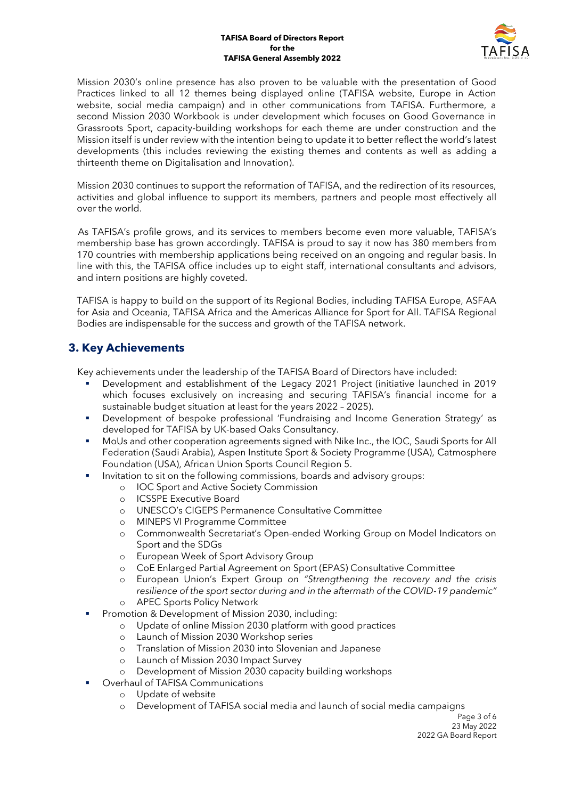#### **TAFISA Board of Directors Report for the TAFISA General Assembly 2022**



Mission 2030's online presence has also proven to be valuable with the presentation of Good Practices linked to all 12 themes being displayed online (TAFISA website, Europe in Action website, social media campaign) and in other communications from TAFISA. Furthermore, a second Mission 2030 Workbook is under development which focuses on Good Governance in Grassroots Sport, capacity-building workshops for each theme are under construction and the Mission itself is under review with the intention being to update it to better reflect the world's latest developments (this includes reviewing the existing themes and contents as well as adding a thirteenth theme on Digitalisation and Innovation).

Mission 2030 continues to support the reformation of TAFISA, and the redirection of its resources, activities and global influence to support its members, partners and people most effectively all over the world.

 As TAFISA's profile grows, and its services to members become even more valuable, TAFISA's membership base has grown accordingly. TAFISA is proud to say it now has 380 members from 170 countries with membership applications being received on an ongoing and regular basis. In line with this, the TAFISA office includes up to eight staff, international consultants and advisors, and intern positions are highly coveted.

TAFISA is happy to build on the support of its Regional Bodies, including TAFISA Europe, ASFAA for Asia and Oceania, TAFISA Africa and the Americas Alliance for Sport for All. TAFISA Regional Bodies are indispensable for the success and growth of the TAFISA network.

# **3. Key Achievements**

Key achievements under the leadership of the TAFISA Board of Directors have included:

- Development and establishment of the Legacy 2021 Project (initiative launched in 2019 which focuses exclusively on increasing and securing TAFISA's financial income for a sustainable budget situation at least for the years 2022 – 2025).
- Development of bespoke professional 'Fundraising and Income Generation Strategy' as developed for TAFISA by UK-based Oaks Consultancy.
- MoUs and other cooperation agreements signed with Nike Inc., the IOC, Saudi Sports for All Federation (Saudi Arabia), Aspen Institute Sport & Society Programme (USA), Catmosphere Foundation (USA), African Union Sports Council Region 5.
- Invitation to sit on the following commissions, boards and advisory groups:
	- o IOC Sport and Active Society Commission
	- o ICSSPE Executive Board
	- o UNESCO's CIGEPS Permanence Consultative Committee
	- o MINEPS VI Programme Committee
	- o Commonwealth Secretariat's Open-ended Working Group on Model Indicators on Sport and the SDGs
	- o European Week of Sport Advisory Group
	- o CoE Enlarged Partial Agreement on Sport (EPAS) Consultative Committee
	- o European Union's Expert Group *on "Strengthening the recovery and the crisis resilience of the sport sector during and in the aftermath of the COVID-19 pandemic"* o APEC Sports Policy Network
	- Promotion & Development of Mission 2030, including:
		- o Update of online Mission 2030 platform with good practices
		- o Launch of Mission 2030 Workshop series
		- o Translation of Mission 2030 into Slovenian and Japanese
		- o Launch of Mission 2030 Impact Survey
		- o Development of Mission 2030 capacity building workshops
		- Overhaul of TAFISA Communications
		- o Update of website
			- o Development of TAFISA social media and launch of social media campaigns

Page 3 of 6 23 May 2022 2022 GA Board Report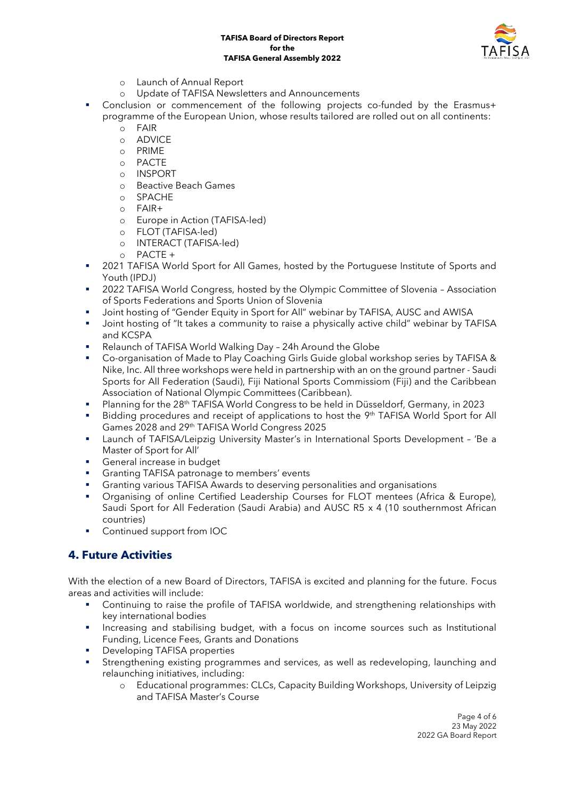

- o Launch of Annual Report
- o Update of TAFISA Newsletters and Announcements
- Conclusion or commencement of the following projects co-funded by the Erasmus+ programme of the European Union, whose results tailored are rolled out on all continents:
	- o FAIR
	- o ADVICE
	- o PRIME
	- o PACTE
	- o INSPORT
	- o Beactive Beach Games
	- o SPACHE
	- o FAIR+
	- o Europe in Action (TAFISA-led)
	- o FLOT (TAFISA-led)
	- o INTERACT (TAFISA-led)
	- o PACTE +
- 2021 TAFISA World Sport for All Games, hosted by the Portuguese Institute of Sports and Youth (IPDJ)
- 2022 TAFISA World Congress, hosted by the Olympic Committee of Slovenia Association of Sports Federations and Sports Union of Slovenia
- Joint hosting of "Gender Equity in Sport for All" webinar by TAFISA, AUSC and AWISA
- **■** Joint hosting of "It takes a community to raise a physically active child" webinar by TAFISA and KCSPA
- Relaunch of TAFISA World Walking Day 24h Around the Globe
- Co-organisation of Made to Play Coaching Girls Guide global workshop series by TAFISA & Nike, Inc. All three workshops were held in partnership with an on the ground partner - Saudi Sports for All Federation (Saudi), Fiji National Sports Commissiom (Fiji) and the Caribbean Association of National Olympic Committees (Caribbean).
- Planning for the 28<sup>th</sup> TAFISA World Congress to be held in Düsseldorf, Germany, in 2023
- Bidding procedures and receipt of applications to host the 9<sup>th</sup> TAFISA World Sport for All Games 2028 and 29<sup>th</sup> TAFISA World Congress 2025
- Launch of TAFISA/Leipzig University Master's in International Sports Development 'Be a Master of Sport for All'
- **•** General increase in budget
- **•** Granting TAFISA patronage to members' events
- Granting various TAFISA Awards to deserving personalities and organisations
- **•** Organising of online Certified Leadership Courses for FLOT mentees (Africa & Europe), Saudi Sport for All Federation (Saudi Arabia) and AUSC R5 x 4 (10 southernmost African countries)
- Continued support from IOC

# **4. Future Activities**

With the election of a new Board of Directors, TAFISA is excited and planning for the future. Focus areas and activities will include:

- Continuing to raise the profile of TAFISA worldwide, and strengthening relationships with key international bodies
- **EXEDENT** Increasing and stabilising budget, with a focus on income sources such as Institutional Funding, Licence Fees, Grants and Donations
- **Developing TAFISA properties**
- **EXECT** Strengthening existing programmes and services, as well as redeveloping, launching and relaunching initiatives, including:
	- o Educational programmes: CLCs, Capacity Building Workshops, University of Leipzig and TAFISA Master's Course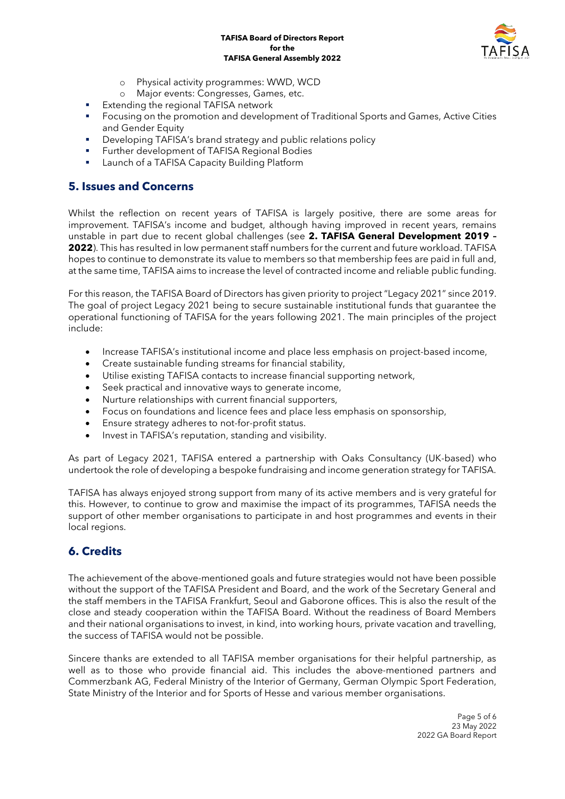### **TAFISA Board of Directors Report for the TAFISA General Assembly 2022**



- o Physical activity programmes: WWD, WCD
- o Major events: Congresses, Games, etc.
- **Extending the regional TAFISA network**
- Focusing on the promotion and development of Traditional Sports and Games, Active Cities and Gender Equity
- **•** Developing TAFISA's brand strategy and public relations policy
- **EXECTED** Further development of TAFISA Regional Bodies
- Launch of a TAFISA Capacity Building Platform

## **5. Issues and Concerns**

Whilst the reflection on recent years of TAFISA is largely positive, there are some areas for improvement. TAFISA's income and budget, although having improved in recent years, remains unstable in part due to recent global challenges (see **2. TAFISA General Development 2019 – 2022**). This has resulted in low permanent staff numbers for the current and future workload. TAFISA hopes to continue to demonstrate its value to members so that membership fees are paid in full and, at the same time, TAFISA aims to increase the level of contracted income and reliable public funding.

For this reason, the TAFISA Board of Directors has given priority to project "Legacy 2021" since 2019. The goal of project Legacy 2021 being to secure sustainable institutional funds that guarantee the operational functioning of TAFISA for the years following 2021. The main principles of the project include:

- Increase TAFISA's institutional income and place less emphasis on project-based income,
- Create sustainable funding streams for financial stability,
- Utilise existing TAFISA contacts to increase financial supporting network,
- Seek practical and innovative ways to generate income,
- Nurture relationships with current financial supporters,
- Focus on foundations and licence fees and place less emphasis on sponsorship,
- Ensure strategy adheres to not-for-profit status.
- Invest in TAFISA's reputation, standing and visibility.

As part of Legacy 2021, TAFISA entered a partnership with Oaks Consultancy (UK-based) who undertook the role of developing a bespoke fundraising and income generation strategy for TAFISA.

TAFISA has always enjoyed strong support from many of its active members and is very grateful for this. However, to continue to grow and maximise the impact of its programmes, TAFISA needs the support of other member organisations to participate in and host programmes and events in their local regions.

# **6. Credits**

The achievement of the above-mentioned goals and future strategies would not have been possible without the support of the TAFISA President and Board, and the work of the Secretary General and the staff members in the TAFISA Frankfurt, Seoul and Gaborone offices. This is also the result of the close and steady cooperation within the TAFISA Board. Without the readiness of Board Members and their national organisations to invest, in kind, into working hours, private vacation and travelling, the success of TAFISA would not be possible.

Sincere thanks are extended to all TAFISA member organisations for their helpful partnership, as well as to those who provide financial aid. This includes the above-mentioned partners and Commerzbank AG, Federal Ministry of the Interior of Germany, German Olympic Sport Federation, State Ministry of the Interior and for Sports of Hesse and various member organisations.